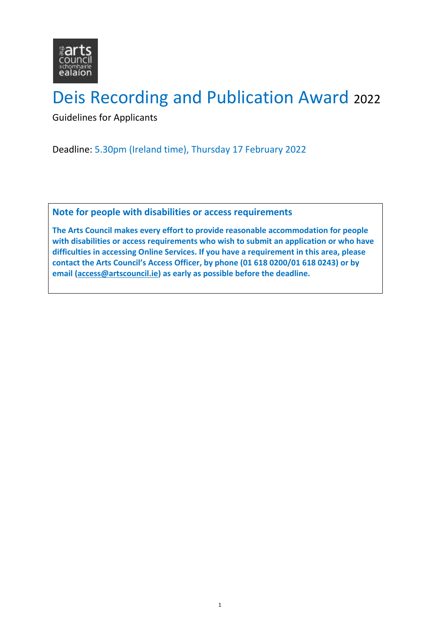

# Deis Recording and Publication Award <sup>2022</sup>

Guidelines for Applicants

Deadline: 5.30pm (Ireland time), Thursday 17 February 2022

**Note for people with disabilities or access requirements**

**The Arts Council makes every effort to provide reasonable accommodation for people with disabilities or access requirements who wish to submit an application or who have difficulties in accessing Online Services. If you have a requirement in this area, please contact the Arts Council's Access Officer, by phone (01 618 0200/01 618 0243) or by email [\(access@artscouncil.ie\)](mailto:access@artscouncil.ie) as early as possible before the deadline.**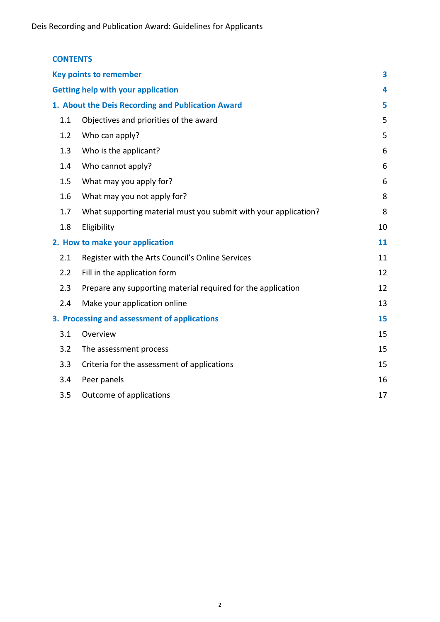| <b>CONTENTS</b>                                   |                                                                 |    |
|---------------------------------------------------|-----------------------------------------------------------------|----|
| <b>Key points to remember</b>                     |                                                                 |    |
| <b>Getting help with your application</b>         |                                                                 |    |
| 1. About the Deis Recording and Publication Award |                                                                 |    |
| 1.1                                               | Objectives and priorities of the award                          | 5  |
| 1.2                                               | Who can apply?                                                  | 5  |
| 1.3                                               | Who is the applicant?                                           | 6  |
| 1.4                                               | Who cannot apply?                                               | 6  |
| 1.5                                               | What may you apply for?                                         | 6  |
| 1.6                                               | What may you not apply for?                                     | 8  |
| 1.7                                               | What supporting material must you submit with your application? | 8  |
| 1.8                                               | Eligibility                                                     | 10 |
| 2. How to make your application                   |                                                                 | 11 |
| 2.1                                               | Register with the Arts Council's Online Services                | 11 |
| 2.2                                               | Fill in the application form                                    | 12 |
| 2.3                                               | Prepare any supporting material required for the application    | 12 |
| 2.4                                               | Make your application online                                    | 13 |
| 3. Processing and assessment of applications      |                                                                 | 15 |
| 3.1                                               | Overview                                                        | 15 |
| 3.2                                               | The assessment process                                          | 15 |
| 3.3                                               | Criteria for the assessment of applications                     | 15 |
| 3.4                                               | Peer panels                                                     | 16 |
| 3.5                                               | Outcome of applications                                         | 17 |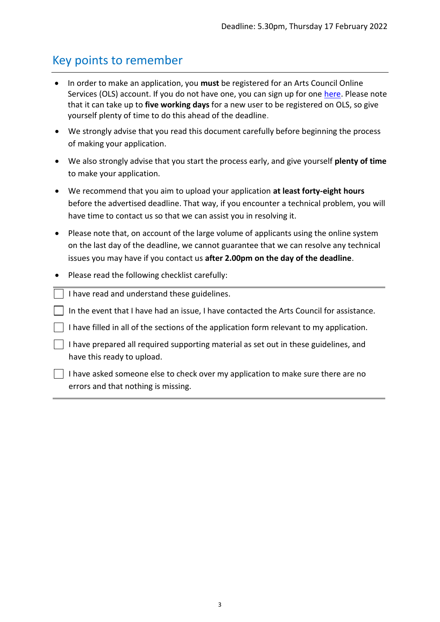### <span id="page-2-0"></span>Key points to remember

- In order to make an application, you **must** be registered for an Arts Council Online Services (OLS) account. If you do not have one, you can sign up for one [here.](https://onlineservices.artscouncil.ie/Register.aspx) Please note that it can take up to **five working days** for a new user to be registered on OLS, so give yourself plenty of time to do this ahead of the deadline.
- We strongly advise that you read this document carefully before beginning the process of making your application.
- We also strongly advise that you start the process early, and give yourself **plenty of time** to make your application.
- We recommend that you aim to upload your application **at least forty-eight hours** before the advertised deadline. That way, if you encounter a technical problem, you will have time to contact us so that we can assist you in resolving it.
- Please note that, on account of the large volume of applicants using the online system on the last day of the deadline, we cannot guarantee that we can resolve any technical issues you may have if you contact us **after 2.00pm on the day of the deadline**.
- Please read the following checklist carefully:

 $\vert \ \vert$  I have read and understand these guidelines.

 $\vert \ \vert$  In the event that I have had an issue, I have contacted the Arts Council for assistance.

 $\vert \vert$  I have filled in all of the sections of the application form relevant to my application.

| $\vert$ I have prepared all required supporting material as set out in these guidelines, and |
|----------------------------------------------------------------------------------------------|
| have this ready to upload.                                                                   |

 $\vert \vert$  I have asked someone else to check over my application to make sure there are no errors and that nothing is missing.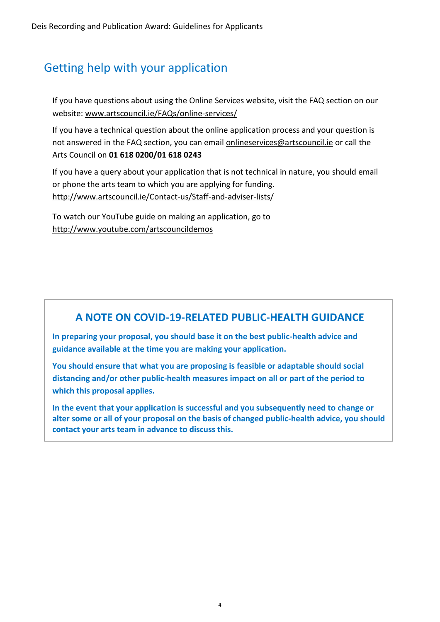## <span id="page-3-0"></span>Getting help with your application

If you have questions about using the Online Services website, visit the FAQ section on our website: [www.artscouncil.ie/FAQs/online-services/](http://www.artscouncil.ie/FAQs/online-services/)

If you have a technical question about the online application process and your question is not answered in the FAQ section, you can email [onlineservices@artscouncil.ie](mailto:onlineservices@artscouncil.ie) or call the Arts Council on **01 618 0200/01 618 0243**

If you have a query about your application that is not technical in nature, you should email or phone the arts team to which you are applying for funding. <http://www.artscouncil.ie/Contact-us/Staff-and-adviser-lists/>

To watch our YouTube guide on making an application, go to <http://www.youtube.com/artscouncildemos>

### **A NOTE ON COVID-19-RELATED PUBLIC-HEALTH GUIDANCE**

**In preparing your proposal, you should base it on the best public-health advice and guidance available at the time you are making your application.**

**You should ensure that what you are proposing is feasible or adaptable should social distancing and/or other public-health measures impact on all or part of the period to which this proposal applies.**

**In the event that your application is successful and you subsequently need to change or alter some or all of your proposal on the basis of changed public-health advice, you should contact your arts team in advance to discuss this.**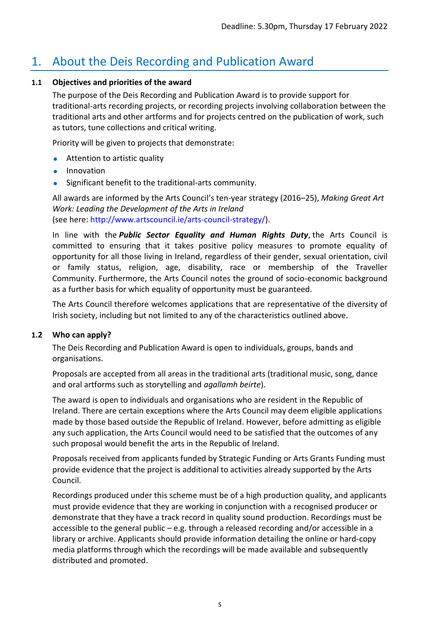### <span id="page-4-0"></span>1. About the Deis Recording and Publication Award

#### <span id="page-4-1"></span>**1.1 Objectives and priorities of the award**

The purpose of the Deis Recording and Publication Award is to provide support for traditional-arts recording projects, or recording projects involving collaboration between the traditional arts and other artforms and for projects centred on the publication of work, such as tutors, tune collections and critical writing.

Priority will be given to projects that demonstrate:

- **•** Attention to artistic quality
- **•** Innovation
- Significant benefit to the traditional-arts community.

All awards are informed by the Arts Council's ten-year strategy (2016–25), *Making Great Art Work: Leading the Development of the Arts in Ireland* (see here: [http://www.artscouncil.ie/arts-council-strategy/\)](http://www.artscouncil.ie/arts-council-strategy/).

In line with the *Public Sector Equality and Human Rights Duty*, the Arts Council is committed to ensuring that it takes positive policy measures to promote equality of opportunity for all those living in Ireland, regardless of their gender, sexual orientation, civil or family status, religion, age, disability, race or membership of the Traveller Community. Furthermore, the Arts Council notes the ground of socio-economic background as a further basis for which equality of opportunity must be guaranteed.

The Arts Council therefore welcomes applications that are representative of the diversity of Irish society, including but not limited to any of the characteristics outlined above.

#### <span id="page-4-2"></span>**1.2 Who can apply?**

The Deis Recording and Publication Award is open to individuals, groups, bands and organisations.

Proposals are accepted from all areas in the traditional arts (traditional music, song, dance and oral artforms such as storytelling and *agallamh beirte*).

The award is open to individuals and organisations who are resident in the Republic of Ireland. There are certain exceptions where the Arts Council may deem eligible applications made by those based outside the Republic of Ireland. However, before admitting as eligible any such application, the Arts Council would need to be satisfied that the outcomes of any such proposal would benefit the arts in the Republic of Ireland.

Proposals received from applicants funded by Strategic Funding or Arts Grants Funding must provide evidence that the project is additional to activities already supported by the Arts Council.

Recordings produced under this scheme must be of a high production quality, and applicants must provide evidence that they are working in conjunction with a recognised producer or demonstrate that they have a track record in quality sound production. Recordings must be accessible to the general public – e.g. through a released recording and/or accessible in a library or archive. Applicants should provide information detailing the online or hard-copy media platforms through which the recordings will be made available and subsequently distributed and promoted.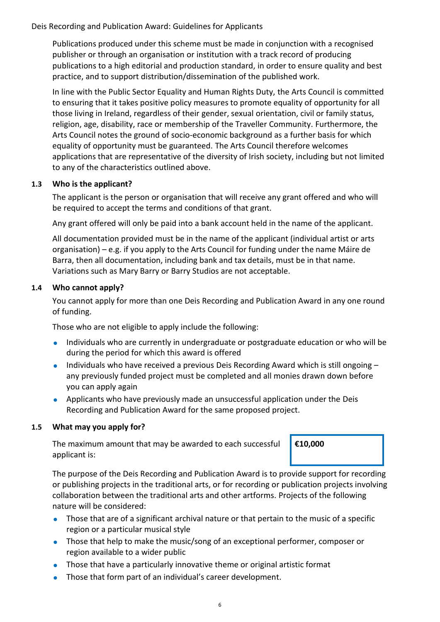Publications produced under this scheme must be made in conjunction with a recognised publisher or through an organisation or institution with a track record of producing publications to a high editorial and production standard, in order to ensure quality and best practice, and to support distribution/dissemination of the published work.

In line with the Public Sector Equality and Human Rights Duty, the Arts Council is committed to ensuring that it takes positive policy measures to promote equality of opportunity for all those living in Ireland, regardless of their gender, sexual orientation, civil or family status, religion, age, disability, race or membership of the Traveller Community. Furthermore, the Arts Council notes the ground of socio-economic background as a further basis for which equality of opportunity must be guaranteed. The Arts Council therefore welcomes applications that are representative of the diversity of Irish society, including but not limited to any of the characteristics outlined above.

#### <span id="page-5-0"></span>**1.3 Who is the applicant?**

The applicant is the person or organisation that will receive any grant offered and who will be required to accept the terms and conditions of that grant.

Any grant offered will only be paid into a bank account held in the name of the applicant.

All documentation provided must be in the name of the applicant (individual artist or arts organisation) – e.g. if you apply to the Arts Council for funding under the name Máire de Barra, then all documentation, including bank and tax details, must be in that name. Variations such as Mary Barry or Barry Studios are not acceptable.

#### <span id="page-5-1"></span>**1.4 Who cannot apply?**

You cannot apply for more than one Deis Recording and Publication Award in any one round of funding.

Those who are not eligible to apply include the following:

- Individuals who are currently in undergraduate or postgraduate education or who will be during the period for which this award is offered
- $\bullet$  Individuals who have received a previous Deis Recording Award which is still ongoing  $$ any previously funded project must be completed and all monies drawn down before you can apply again
- Applicants who have previously made an unsuccessful application under the Deis Recording and Publication Award for the same proposed project.

#### <span id="page-5-2"></span>**1.5 What may you apply for?**

The maximum amount that may be awarded to each successful applicant is:

**€10,000**

The purpose of the Deis Recording and Publication Award is to provide support for recording or publishing projects in the traditional arts, or for recording or publication projects involving collaboration between the traditional arts and other artforms. Projects of the following nature will be considered:

- Those that are of a significant archival nature or that pertain to the music of a specific region or a particular musical style
- Those that help to make the music/song of an exceptional performer, composer or region available to a wider public
- Those that have a particularly innovative theme or original artistic format
- Those that form part of an individual's career development.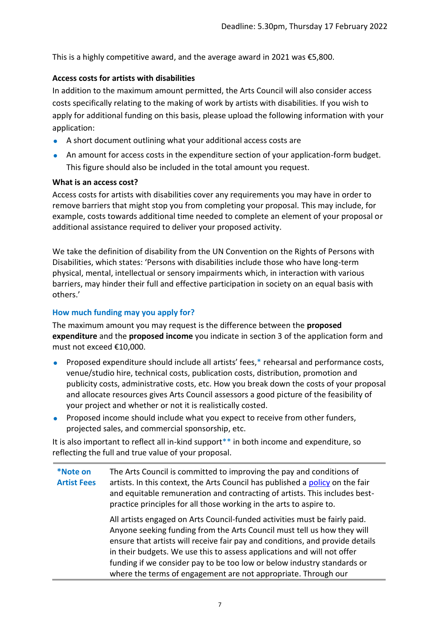This is a highly competitive award, and the average award in 2021 was €5,800.

#### **Access costs for artists with disabilities**

In addition to the maximum amount permitted, the Arts Council will also consider access costs specifically relating to the making of work by artists with disabilities. If you wish to apply for additional funding on this basis, please upload the following information with your application:

- A short document outlining what your additional access costs are
- An amount for access costs in the expenditure section of your application-form budget. This figure should also be included in the total amount you request.

#### **What is an access cost?**

Access costs for artists with disabilities cover any requirements you may have in order to remove barriers that might stop you from completing your proposal. This may include, for example, costs towards additional time needed to complete an element of your proposal or additional assistance required to deliver your proposed activity.

We take the definition of disability from the UN Convention on the Rights of Persons with Disabilities, which states: 'Persons with disabilities include those who have long-term physical, mental, intellectual or sensory impairments which, in interaction with various barriers, may hinder their full and effective participation in society on an equal basis with others.'

#### **How much funding may you apply for?**

The maximum amount you may request is the difference between the **proposed expenditure** and the **proposed income** you indicate in section 3 of the application form and must not exceed €10,000.

- Proposed expenditure should include all artists' fees,\* rehearsal and performance costs, venue/studio hire, technical costs, publication costs, distribution, promotion and publicity costs, administrative costs, etc. How you break down the costs of your proposal and allocate resources gives Arts Council assessors a good picture of the feasibility of your project and whether or not it is realistically costed.
- **Proposed income should include what you expect to receive from other funders,** projected sales, and commercial sponsorship, etc.

It is also important to reflect all in-kind support\*\* in both income and expenditure, so reflecting the full and true value of your proposal.

**\*Note on Artist Fees** The Arts Council is committed to improving the pay and conditions of artists. In this context, the Arts Council has published a [policy](http://www.artscouncil.ie/uploadedFiles/Main_Site/Content/About_Us/Paying%20the%20Artist%20(Single%20Page%20-%20EN).pdf) on the fair and equitable remuneration and contracting of artists. This includes bestpractice principles for all those working in the arts to aspire to. All artists engaged on Arts Council-funded activities must be fairly paid. Anyone seeking funding from the Arts Council must tell us how they will ensure that artists will receive fair pay and conditions, and provide details in their budgets. We use this to assess applications and will not offer funding if we consider pay to be too low or below industry standards or where the terms of engagement are not appropriate. Through our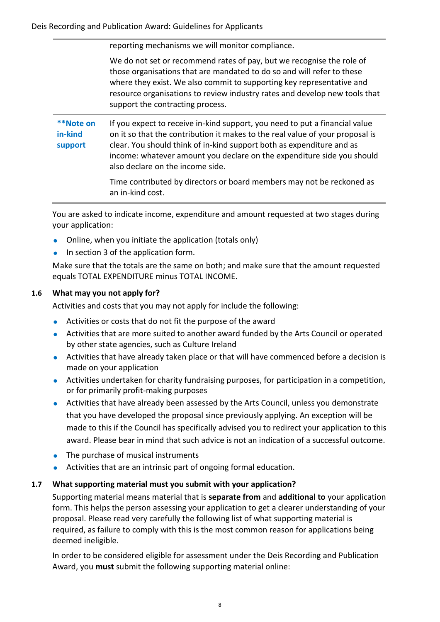reporting mechanisms we will monitor compliance.

We do not set or recommend rates of pay, but we recognise the role of those organisations that are mandated to do so and will refer to these where they exist. We also commit to supporting key representative and resource organisations to review industry rates and develop new tools that support the contracting process.

**\*\*Note on in-kind support** If you expect to receive in-kind support, you need to put a financial value on it so that the contribution it makes to the real value of your proposal is clear. You should think of in-kind support both as expenditure and as income: whatever amount you declare on the expenditure side you should also declare on the income side.

> Time contributed by directors or board members may not be reckoned as an in-kind cost.

You are asked to indicate income, expenditure and amount requested at two stages during your application:

- Online, when you initiate the application (totals only)
- $\bullet$  In section 3 of the application form.

Make sure that the totals are the same on both; and make sure that the amount requested equals TOTAL EXPENDITURE minus TOTAL INCOME.

#### <span id="page-7-0"></span>**1.6 What may you not apply for?**

Activities and costs that you may not apply for include the following:

- Activities or costs that do not fit the purpose of the award
- Activities that are more suited to another award funded by the Arts Council or operated by other state agencies, such as Culture Ireland
- Activities that have already taken place or that will have commenced before a decision is made on your application
- Activities undertaken for charity fundraising purposes, for participation in a competition, or for primarily profit-making purposes
- Activities that have already been assessed by the Arts Council, unless you demonstrate that you have developed the proposal since previously applying. An exception will be made to this if the Council has specifically advised you to redirect your application to this award. Please bear in mind that such advice is not an indication of a successful outcome.
- The purchase of musical instruments
- Activities that are an intrinsic part of ongoing formal education.

#### <span id="page-7-1"></span>**1.7 What supporting material must you submit with your application?**

Supporting material means material that is **separate from** and **additional to** your application form. This helps the person assessing your application to get a clearer understanding of your proposal. Please read very carefully the following list of what supporting material is required, as failure to comply with this is the most common reason for applications being deemed ineligible.

In order to be considered eligible for assessment under the Deis Recording and Publication Award, you **must** submit the following supporting material online: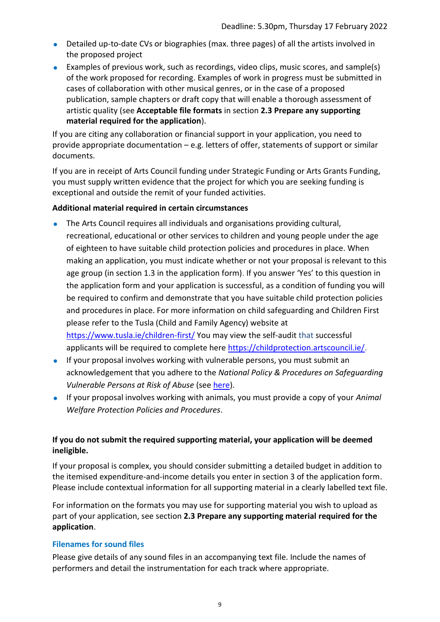- Detailed up-to-date CVs or biographies (max. three pages) of all the artists involved in the proposed project
- Examples of previous work, such as recordings, video clips, music scores, and sample(s) of the work proposed for recording. Examples of work in progress must be submitted in cases of collaboration with other musical genres, or in the case of a proposed publication, sample chapters or draft copy that will enable a thorough assessment of artistic quality (see **Acceptable file formats** in section **2.3 Prepare any supporting material required for the application**).

If you are citing any collaboration or financial support in your application, you need to provide appropriate documentation – e.g. letters of offer, statements of support or similar documents.

If you are in receipt of Arts Council funding under Strategic Funding or Arts Grants Funding, you must supply written evidence that the project for which you are seeking funding is exceptional and outside the remit of your funded activities.

#### **Additional material required in certain circumstances**

- The Arts Council requires all individuals and organisations providing cultural, recreational, educational or other services to children and young people under the age of eighteen to have suitable child protection policies and procedures in place. When making an application, you must indicate whether or not your proposal is relevant to this age group (in section 1.3 in the application form). If you answer 'Yes' to this question in the application form and your application is successful, as a condition of funding you will be required to confirm and demonstrate that you have suitable child protection policies and procedures in place. For more information on child safeguarding and Children First please refer to the Tusla (Child and Family Agency) website at [https://www.tusla.ie/children-first/](https://eur01.safelinks.protection.outlook.com/?url=https%3A%2F%2Fwww.tusla.ie%2Fchildren-first%2F&data=04%7C01%7Cmaeve.giles%40artscouncil.ie%7Cea09bbc4f46842c3667508d91eb0ad1c%7C795081b8031247148b9b47a38385ea5e%7C0%7C0%7C637574566433798597%7CUnknown%7CTWFpbGZsb3d8eyJWIjoiMC4wLjAwMDAiLCJQIjoiV2luMzIiLCJBTiI6Ik1haWwiLCJXVCI6Mn0%3D%7C1000&sdata=r8PvUYBXBXkb3lyz5ozJDdx3BoGZW9t09r8lAej1%2BYY%3D&reserved=0) You may view the self-audit that successful applicants will be required to complete here [https://childprotection.artscouncil.ie/.](https://eur01.safelinks.protection.outlook.com/?url=https%3A%2F%2Fchildprotection.artscouncil.ie%2F&data=04%7C01%7Cmaeve.giles%40artscouncil.ie%7Cea09bbc4f46842c3667508d91eb0ad1c%7C795081b8031247148b9b47a38385ea5e%7C0%7C0%7C637574566433808554%7CUnknown%7CTWFpbGZsb3d8eyJWIjoiMC4wLjAwMDAiLCJQIjoiV2luMzIiLCJBTiI6Ik1haWwiLCJXVCI6Mn0%3D%7C1000&sdata=ac1CroLu2SbmcTJOsX5W1pnfA041c0G2aqIohfeAJiA%3D&reserved=0)
- If your proposal involves working with vulnerable persons, you must submit an acknowledgement that you adhere to the *National Policy & Procedures on Safeguarding Vulnerable Persons at Risk of Abuse* (see [here\)](https://www.hse.ie/eng/about/who/socialcare/safeguardingvulnerableadults/).
- If your proposal involves working with animals, you must provide a copy of your *Animal Welfare Protection Policies and Procedures*.

#### **If you do not submit the required supporting material, your application will be deemed ineligible.**

If your proposal is complex, you should consider submitting a detailed budget in addition to the itemised expenditure-and-income details you enter in section 3 of the application form. Please include contextual information for all supporting material in a clearly labelled text file.

For information on the formats you may use for supporting material you wish to upload as part of your application, see section **2.3 Prepare any supporting material required for the application**.

#### **Filenames for sound files**

Please give details of any sound files in an accompanying text file. Include the names of performers and detail the instrumentation for each track where appropriate.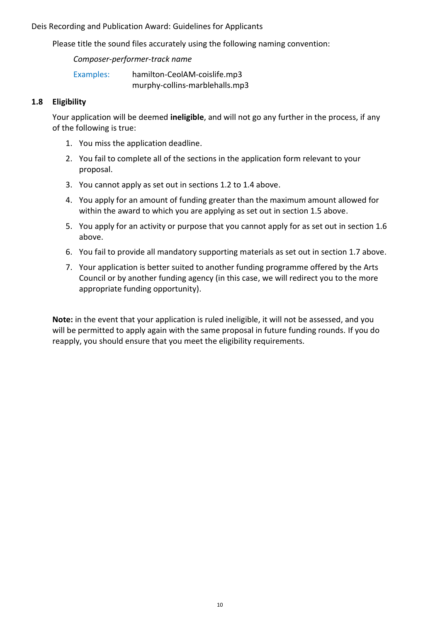Please title the sound files accurately using the following naming convention:

*Composer-performer-track name*

Examples: hamilton-CeolAM-coislife.mp3 murphy-collins-marblehalls.mp3

#### <span id="page-9-0"></span>**1.8 Eligibility**

Your application will be deemed **ineligible**, and will not go any further in the process, if any of the following is true:

- 1. You miss the application deadline.
- 2. You fail to complete all of the sections in the application form relevant to your proposal.
- 3. You cannot apply as set out in sections 1.2 to 1.4 above.
- 4. You apply for an amount of funding greater than the maximum amount allowed for within the award to which you are applying as set out in section 1.5 above.
- 5. You apply for an activity or purpose that you cannot apply for as set out in section 1.6 above.
- 6. You fail to provide all mandatory supporting materials as set out in section 1.7 above.
- 7. Your application is better suited to another funding programme offered by the Arts Council or by another funding agency (in this case, we will redirect you to the more appropriate funding opportunity).

**Note:** in the event that your application is ruled ineligible, it will not be assessed, and you will be permitted to apply again with the same proposal in future funding rounds. If you do reapply, you should ensure that you meet the eligibility requirements.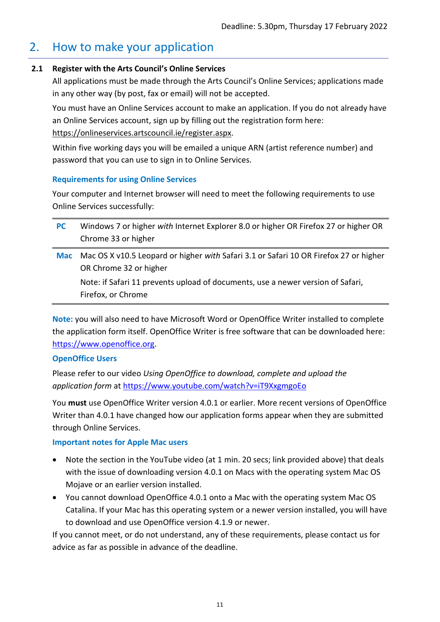### <span id="page-10-0"></span>2. How to make your application

#### **2.1 Register with the Arts Council's Online Services**

<span id="page-10-1"></span>All applications must be made through the Arts Council's Online Services; applications made in any other way (by post, fax or email) will not be accepted.

You must have an Online Services account to make an application. If you do not already have an Online Services account, sign up by filling out the registration form here: [https://onlineservices.artscouncil.ie/register.aspx.](https://onlineservices.artscouncil.ie/register.aspx)

Within five working days you will be emailed a unique ARN (artist reference number) and password that you can use to sign in to Online Services.

#### **Requirements for using Online Services**

Your computer and Internet browser will need to meet the following requirements to use Online Services successfully:

**PC** Windows 7 or higher *with* Internet Explorer 8.0 or higher OR Firefox 27 or higher OR Chrome 33 or higher **Mac** Mac OS X v10.5 Leopard or higher *with* Safari 3.1 or Safari 10 OR Firefox 27 or higher OR Chrome 32 or higher

Note: if Safari 11 prevents upload of documents, use a newer version of Safari, Firefox, or Chrome

**Note:** you will also need to have Microsoft Word or OpenOffice Writer installed to complete the application form itself. OpenOffice Writer is free software that can be downloaded here: [https://www.openoffice.org.](https://www.openoffice.org/)

#### **OpenOffice Users**

Please refer to our video *Using OpenOffice to download, complete and upload the application form* at [https://www.youtube.com/watch?v=iT9XxgmgoEo](https://eur01.safelinks.protection.outlook.com/?url=https%3A%2F%2Fwww.youtube.com%2Fwatch%3Fv%3DiT9XxgmgoEo&data=04%7C01%7Cmaeve.giles%40artscouncil.ie%7Cafa307ec655549eaf30008d900000e9a%7C795081b8031247148b9b47a38385ea5e%7C0%7C0%7C637540822510970809%7CUnknown%7CTWFpbGZsb3d8eyJWIjoiMC4wLjAwMDAiLCJQIjoiV2luMzIiLCJBTiI6Ik1haWwiLCJXVCI6Mn0%3D%7C1000&sdata=N%2B1rk4Wdph%2Blz%2F65w8uLB3uVo66%2B%2Bj5xHydRj6aogZs%3D&reserved=0)

You **must** use OpenOffice Writer version 4.0.1 or earlier. More recent versions of OpenOffice Writer than 4.0.1 have changed how our application forms appear when they are submitted through Online Services.

#### **Important notes for Apple Mac users**

- Note the section in the YouTube video (at 1 min. 20 secs; link provided above) that deals with the issue of downloading version 4.0.1 on Macs with the operating system Mac OS Mojave or an earlier version installed.
- You cannot download OpenOffice 4.0.1 onto a Mac with the operating system Mac OS Catalina. If your Mac has this operating system or a newer version installed, you will have to download and use OpenOffice version 4.1.9 or newer.

If you cannot meet, or do not understand, any of these requirements, please contact us for advice as far as possible in advance of the deadline.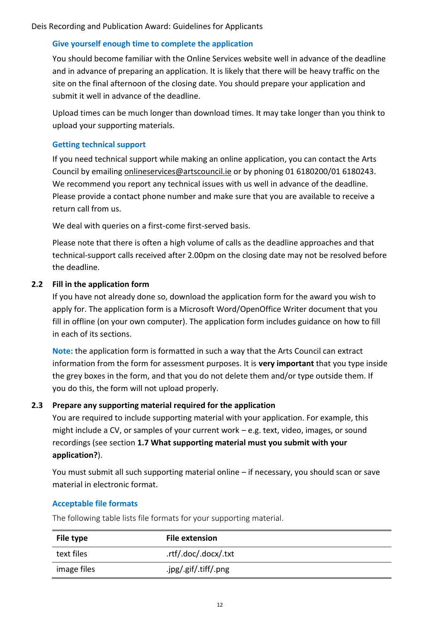#### **Give yourself enough time to complete the application**

You should become familiar with the Online Services website well in advance of the deadline and in advance of preparing an application. It is likely that there will be heavy traffic on the site on the final afternoon of the closing date. You should prepare your application and submit it well in advance of the deadline.

Upload times can be much longer than download times. It may take longer than you think to upload your supporting materials.

#### **Getting technical support**

If you need technical support while making an online application, you can contact the Arts Council by emailing [onlineservices@artscouncil.ie](mailto:onlineservices@artscouncil.ie) or by phoning 01 6180200/01 6180243. We recommend you report any technical issues with us well in advance of the deadline. Please provide a contact phone number and make sure that you are available to receive a return call from us.

We deal with queries on a first-come first-served basis.

Please note that there is often a high volume of calls as the deadline approaches and that technical-support calls received after 2.00pm on the closing date may not be resolved before the deadline.

#### **2.2 Fill in the application form**

<span id="page-11-0"></span>If you have not already done so, download the application form for the award you wish to apply for. The application form is a Microsoft Word/OpenOffice Writer document that you fill in offline (on your own computer). The application form includes guidance on how to fill in each of its sections.

**Note:** the application form is formatted in such a way that the Arts Council can extract information from the form for assessment purposes. It is **very important** that you type inside the grey boxes in the form, and that you do not delete them and/or type outside them. If you do this, the form will not upload properly.

#### **2.3 Prepare any supporting material required for the application**

<span id="page-11-1"></span>You are required to include supporting material with your application. For example, this might include a CV, or samples of your current work – e.g. text, video, images, or sound recordings (see section **1.7 What supporting material must you submit with your application?**).

You must submit all such supporting material online – if necessary, you should scan or save material in electronic format.

#### **Acceptable file formats**

The following table lists file formats for your supporting material.

| File type   | <b>File extension</b> |
|-------------|-----------------------|
| text files  | .rtf/.doc/.docx/.txt  |
| image files | .jpg/.gif/.tiff/.png  |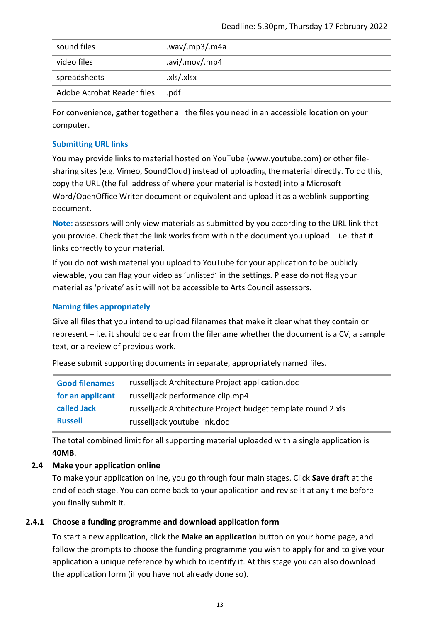| sound files                | .wav/.mp3/.m4a |
|----------------------------|----------------|
| video files                | .avi/.mov/.mp4 |
| spreadsheets               | .xls/.xlsx     |
| Adobe Acrobat Reader files | .pdf           |

For convenience, gather together all the files you need in an accessible location on your computer.

#### **Submitting URL links**

You may provide links to material hosted on YouTube [\(www.youtube.com\)](http://www.youtube.com/) or other filesharing sites (e.g. Vimeo, SoundCloud) instead of uploading the material directly. To do this, copy the URL (the full address of where your material is hosted) into a Microsoft Word/OpenOffice Writer document or equivalent and upload it as a weblink-supporting document.

**Note:** assessors will only view materials as submitted by you according to the URL link that you provide. Check that the link works from within the document you upload – i.e. that it links correctly to your material.

If you do not wish material you upload to YouTube for your application to be publicly viewable, you can flag your video as 'unlisted' in the settings. Please do not flag your material as 'private' as it will not be accessible to Arts Council assessors.

#### **Naming files appropriately**

Give all files that you intend to upload filenames that make it clear what they contain or represent – i.e. it should be clear from the filename whether the document is a CV, a sample text, or a review of previous work.

Please submit supporting documents in separate, appropriately named files.

| <b>Good filenames</b> | russelljack Architecture Project application.doc             |
|-----------------------|--------------------------------------------------------------|
| for an applicant      | russelljack performance clip.mp4                             |
| called Jack           | russelljack Architecture Project budget template round 2.xls |
| <b>Russell</b>        | russelljack youtube link.doc                                 |

The total combined limit for all supporting material uploaded with a single application is **40MB**.

#### **2.4 Make your application online**

<span id="page-12-0"></span>To make your application online, you go through four main stages. Click **Save draft** at the end of each stage. You can come back to your application and revise it at any time before you finally submit it.

#### **2.4.1 Choose a funding programme and download application form**

To start a new application, click the **Make an application** button on your home page, and follow the prompts to choose the funding programme you wish to apply for and to give your application a unique reference by which to identify it. At this stage you can also download the application form (if you have not already done so).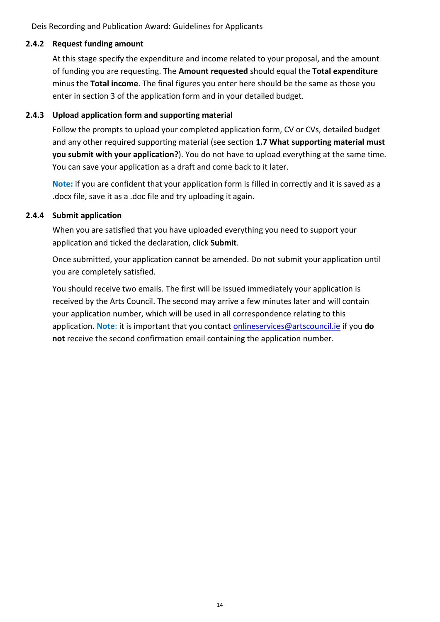#### **2.4.2 Request funding amount**

At this stage specify the expenditure and income related to your proposal, and the amount of funding you are requesting. The **Amount requested** should equal the **Total expenditure** minus the **Total income**. The final figures you enter here should be the same as those you enter in section 3 of the application form and in your detailed budget.

#### **2.4.3 Upload application form and supporting material**

Follow the prompts to upload your completed application form, CV or CVs, detailed budget and any other required supporting material (see section **1.7 What supporting material must you submit with your application?**). You do not have to upload everything at the same time. You can save your application as a draft and come back to it later.

**Note:** if you are confident that your application form is filled in correctly and it is saved as a .docx file, save it as a .doc file and try uploading it again.

#### **2.4.4 Submit application**

When you are satisfied that you have uploaded everything you need to support your application and ticked the declaration, click **Submit**.

Once submitted, your application cannot be amended. Do not submit your application until you are completely satisfied.

You should receive two emails. The first will be issued immediately your application is received by the Arts Council. The second may arrive a few minutes later and will contain your application number, which will be used in all correspondence relating to this application. **Note**: it is important that you contact [onlineservices@artscouncil.ie](mailto:onlineservices@artscouncil.ie) if you **do not** receive the second confirmation email containing the application number.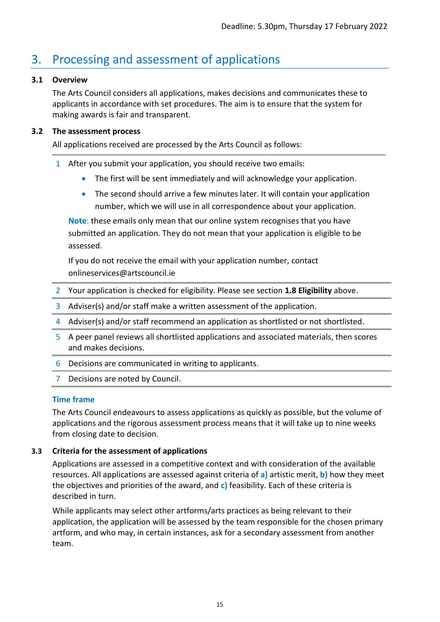## <span id="page-14-0"></span>3. Processing and assessment of applications

#### <span id="page-14-1"></span>**3.1 Overview**

The Arts Council considers all applications, makes decisions and communicates these to applicants in accordance with set procedures. The aim is to ensure that the system for making awards is fair and transparent.

#### <span id="page-14-2"></span>**3.2 The assessment process**

All applications received are processed by the Arts Council as follows:

- 1 After you submit your application, you should receive two emails:
	- The first will be sent immediately and will acknowledge your application.
	- The second should arrive a few minutes later. It will contain your application number, which we will use in all correspondence about your application.

**Note**: these emails only mean that our online system recognises that you have submitted an application. They do not mean that your application is eligible to be assessed.

If you do not receive the email with your application number, contact onlineservices@artscouncil.ie

- 2 Your application is checked for eligibility. Please see section **1.8 Eligibility** above.
- 3 Adviser(s) and/or staff make a written assessment of the application.
- 4 Adviser(s) and/or staff recommend an application as shortlisted or not shortlisted.
- 5 A peer panel reviews all shortlisted applications and associated materials, then scores and makes decisions.
- 6 Decisions are communicated in writing to applicants.
- 7 Decisions are noted by Council.

#### **Time frame**

The Arts Council endeavours to assess applications as quickly as possible, but the volume of applications and the rigorous assessment process means that it will take up to nine weeks from closing date to decision.

#### <span id="page-14-3"></span>**3.3 Criteria for the assessment of applications**

Applications are assessed in a competitive context and with consideration of the available resources. All applications are assessed against criteria of **a)** artistic merit, **b)** how they meet the objectives and priorities of the award, and **c)** feasibility. Each of these criteria is described in turn.

While applicants may select other artforms/arts practices as being relevant to their application, the application will be assessed by the team responsible for the chosen primary artform, and who may, in certain instances, ask for a secondary assessment from another team.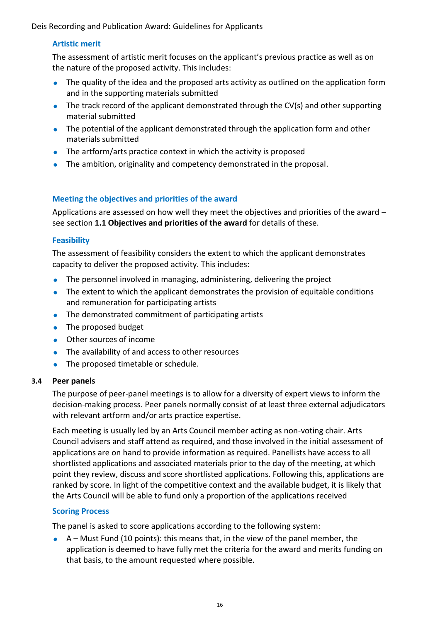#### **Artistic merit**

The assessment of artistic merit focuses on the applicant's previous practice as well as on the nature of the proposed activity. This includes:

- The quality of the idea and the proposed arts activity as outlined on the application form and in the supporting materials submitted
- The track record of the applicant demonstrated through the CV(s) and other supporting material submitted
- The potential of the applicant demonstrated through the application form and other materials submitted
- The artform/arts practice context in which the activity is proposed
- The ambition, originality and competency demonstrated in the proposal.

#### **Meeting the objectives and priorities of the award**

Applications are assessed on how well they meet the objectives and priorities of the award – see section **1.1 Objectives and priorities of the award** for details of these.

#### **Feasibility**

The assessment of feasibility considers the extent to which the applicant demonstrates capacity to deliver the proposed activity. This includes:

- The personnel involved in managing, administering, delivering the project
- The extent to which the applicant demonstrates the provision of equitable conditions and remuneration for participating artists
- The demonstrated commitment of participating artists
- The proposed budget
- Other sources of income
- The availability of and access to other resources
- The proposed timetable or schedule.

#### <span id="page-15-0"></span>**3.4 Peer panels**

The purpose of peer-panel meetings is to allow for a diversity of expert views to inform the decision-making process. Peer panels normally consist of at least three external adjudicators with relevant artform and/or arts practice expertise.

Each meeting is usually led by an Arts Council member acting as non-voting chair. Arts Council advisers and staff attend as required, and those involved in the initial assessment of applications are on hand to provide information as required. Panellists have access to all shortlisted applications and associated materials prior to the day of the meeting, at which point they review, discuss and score shortlisted applications. Following this, applications are ranked by score. In light of the competitive context and the available budget, it is likely that the Arts Council will be able to fund only a proportion of the applications received

#### **Scoring Process**

The panel is asked to score applications according to the following system:

 $\bullet$  A – Must Fund (10 points): this means that, in the view of the panel member, the application is deemed to have fully met the criteria for the award and merits funding on that basis, to the amount requested where possible.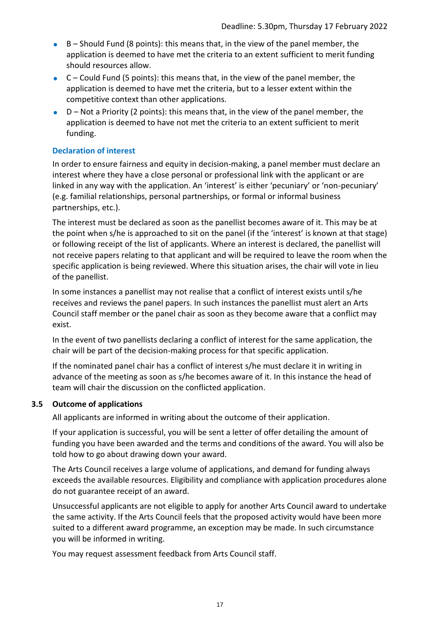- $B -$  Should Fund (8 points): this means that, in the view of the panel member, the application is deemed to have met the criteria to an extent sufficient to merit funding should resources allow.
- $\bullet$   $C$  Could Fund (5 points): this means that, in the view of the panel member, the application is deemed to have met the criteria, but to a lesser extent within the competitive context than other applications.
- $\bullet$  D Not a Priority (2 points): this means that, in the view of the panel member, the application is deemed to have not met the criteria to an extent sufficient to merit funding.

#### **Declaration of interest**

In order to ensure fairness and equity in decision-making, a panel member must declare an interest where they have a close personal or professional link with the applicant or are linked in any way with the application. An 'interest' is either 'pecuniary' or 'non-pecuniary' (e.g. familial relationships, personal partnerships, or formal or informal business partnerships, etc.).

The interest must be declared as soon as the panellist becomes aware of it. This may be at the point when s/he is approached to sit on the panel (if the 'interest' is known at that stage) or following receipt of the list of applicants. Where an interest is declared, the panellist will not receive papers relating to that applicant and will be required to leave the room when the specific application is being reviewed. Where this situation arises, the chair will vote in lieu of the panellist.

In some instances a panellist may not realise that a conflict of interest exists until s/he receives and reviews the panel papers. In such instances the panellist must alert an Arts Council staff member or the panel chair as soon as they become aware that a conflict may exist.

In the event of two panellists declaring a conflict of interest for the same application, the chair will be part of the decision-making process for that specific application.

If the nominated panel chair has a conflict of interest s/he must declare it in writing in advance of the meeting as soon as s/he becomes aware of it. In this instance the head of team will chair the discussion on the conflicted application.

#### <span id="page-16-0"></span>**3.5 Outcome of applications**

All applicants are informed in writing about the outcome of their application.

If your application is successful, you will be sent a letter of offer detailing the amount of funding you have been awarded and the terms and conditions of the award. You will also be told how to go about drawing down your award.

The Arts Council receives a large volume of applications, and demand for funding always exceeds the available resources. Eligibility and compliance with application procedures alone do not guarantee receipt of an award.

Unsuccessful applicants are not eligible to apply for another Arts Council award to undertake the same activity. If the Arts Council feels that the proposed activity would have been more suited to a different award programme, an exception may be made. In such circumstance you will be informed in writing.

You may request assessment feedback from Arts Council staff.